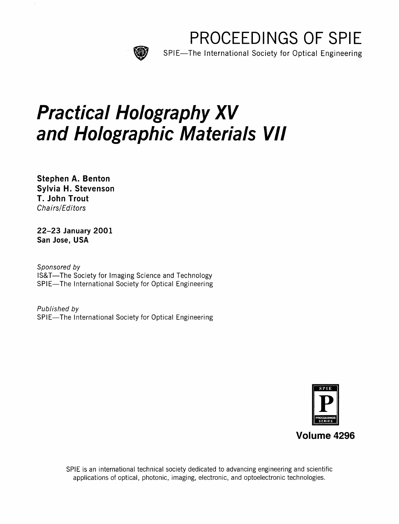

PROCEEDINGS OF SPIE

SPIE—The International Society for Optical Engineering

# Practical Holography XV and Holographic Materials VII

Stephen A. Benton Sylvia H. Stevenson T. John Trout Chairs/Editors

22-23 January 2001 San Jose, USA

Sponsored by IS&T—The Society for Imaging Science and Technology SPIE—The International Society for Optical Engineering

Published by SPIE—The International Society for Optical Engineering



SPIE is an international technical society dedicated to advancing engineering and scientific applications of optical, photonic, imaging, electronic, and optoelectronic technologies.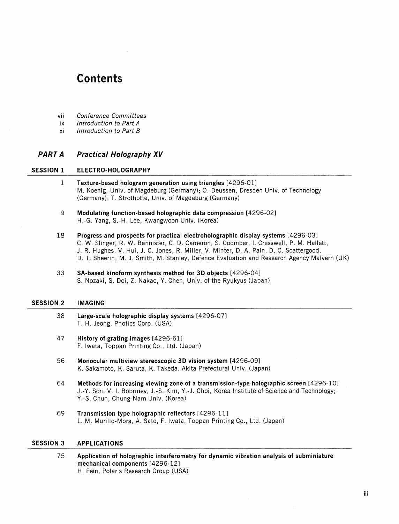# Contents

- vii Conference Committees
- ix Introduction to Part A
- xi Introduction to Part B

# PART A Practical Holography XV

## SESSION <sup>1</sup> ELECTRO-HOLOGRAPHY

- <sup>1</sup> Texture-based hologram generation using triangles [4296-01] M. Koenig, Univ. of Magdeburg (Germany); 0. Deussen, Dresden Univ. of Technology (Germany); T. Strothotte, Univ. of Magdeburg (Germany)
- 9 Modulating function-based holographic data compression [4296-02] H.-G. Yang, S.-H. Lee, Kwangwoon Univ. (Korea)
- 18 Progress and prospects for practical electroholographic display systems [4296-03] C. W. Slinger, R. W. Bannister, C. D. Cameron, S. Coomber, 1. Cresswell, P. M. Hallett, J. R. Hughes, V. Hui, J. C. Jones, R. Miller, V. Minter, D. A. Pain, D. C. Scattergood, D. T. Sheerin, M. J. Smith, M. Stanley, Defence Evaluation and Research Agency Malvern (UK)
- 33 SA-based kinoform synthesis method for 3D objects [4296-04] S. Nozaki, S. Doi, Z. Nakao, Y. Chen, Univ. of the Ryukyus (Japan)

# SESSION <sup>2</sup> IMAGING

- 38 Large-scale holographic display systems [4296-07] T. H. Jeong, Photics Corp. (USA)
- 47 History of grating images [4296-61] F. Iwata, Toppan Printing Co., Ltd. (Japan)
- 56 Monocular multiview stereoscopic 3D vision system [4296-09] K. Sakamoto, K. Saruta, K. Takeda, Akita Prefectural Univ. (Japan)
- 64 Methods for increasing viewing zone of <sup>a</sup> transmission-type holographic screen [4296-10] J.-Y. Son, V. 1. Bobrinev, J.-S. Kim, Y.-J. Choi, Korea Institute of Science and Technology; Y.-S. Chun, Chung-Nam Univ. (Korea)
- 69 Transmission type holographic reflectors [4296-11] L. M. Murillo-Mora, A. Sato, F. Iwata, Toppan Printing Co., Ltd. (Japan)

# SESSION 3 APPLICATIONS

75 Application of holographic interferometry for dynamic vibration analysis of subminiature mechanical components [4296-12] H. Fein, Polaris Research Group (USA)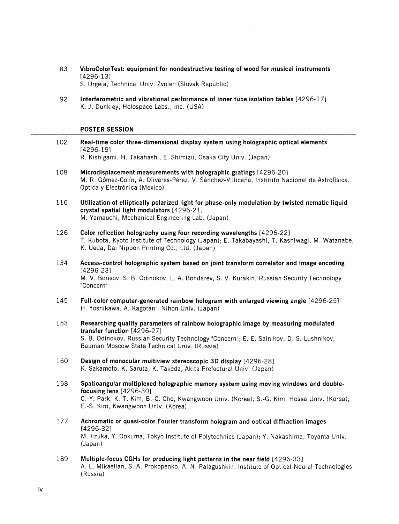- 83 VibroColorTest: equipment for nondestructive testing of wood for musical instruments [4296-13] S. Urgela, Technical Univ. Zvolen (Slovak Republic)
- 92 Interferometric and vibrational performance of inner tube isolation tables [4296-17] K. J. Dunkley, Holospace Labs., Inc. (USA)

#### POSTER SESSION

102 Real-time color three-dimensional display system using holographic optical elements [4296-19]

R. Kishigami, H. Takahashi, E. Shimizu, Osaka City Univ. (Japan)

- 108 Microdisplacement measurements with holographic gratings [4296-20] M. R. Gómez-Colín, A. Olivares-Pérez, V. Sánchez-Villicaña, Instituto Nacional de Astrofísica, Optica y Electrónica (Mexico)
- 116 Utilization of elliptically polarized light for phase-only modulation by twisted nematic liquid crystal spatial light modulators [4296-21] M. Yamauchi, Mechanical Engineering Lab. (Japan)
- 126 Color reflection holography using four recording wavelengths [4296-22] T. Kubota, Kyoto Institute of Technology (Japan); E. Takabayashi, T. Kashiwagi, M. Watanabe, K. Ueda, Dai Nippon Printing Co., Ltd. (Japan)
- 134 Access-control holographic system based on joint transform correlator and image encoding [4296-23] M. V. Borisov, S. B. Odinokov, L. A. Bondarev, S. V. Kurakin, Russian Security Technology "Concern"
- 145 Full-color computer-generated rainbow hologram with enlarged viewing angle [4296-25] H. Yoshikawa, A. Kagotani, Nihon Univ. (Japan)
- 153 Researching quality parameters of rainbow holographic image by measuring modulated transfer function [4296-27] S. B. Odinokov, Russian Security Technology "Concern"; E. E. Salnikov, D. S. Lushnikov, Bauman Moscow State Technical Univ. (Russia)
- 160 Design of monocular multiview stereoscopic 3D display [4296-28] K. Sakamoto, K. Saruta, K. Takeda, Akita Prefectural Univ. (Japan)
- 168 Spatioangular multiplexed holographic memory system using moving windows and doublefocusing lens [4296-30] C.-Y. Park, K.-T. Kim, B.-C. Cho, Kwangwoon Univ. (Korea); S.-G. Kim, Hosea Univ. (Korea); E.-S. Kim, Kwangwoon Univ. (Korea)
- 177 Achromatic or quasi-color Fourier transform hologram and optical diffraction images [4296-32] M. lizuka, Y. Ookuma, Tokyo Institute of Polytechnics (Japan); Y. Nakashima, Toyama Univ. (Japan)
- 189 Multiple-focus CGHs for producing light patterns in the near field [4296-33] A. L. Mikaelian, S. A. Prokopenko, A. N. Palagushkin, Institute of Optical Neural Technologies (Russia)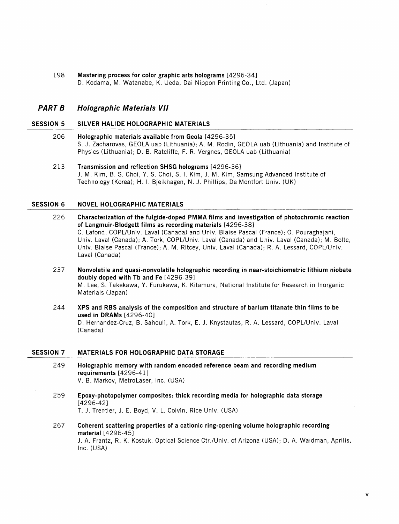198 Mastering process for color graphic arts holograms [4296-34] D. Kodama, M. Watanabe, K. Ueda, Dai Nippon Printing Co., Ltd. (Japan)

# PART B Holographic Materials VII

# SESSION 5 SILVER HALIDE HOLOGRAPHIC MATERIALS

- 206 Holographic materials available from Geola [4296-35] S. J. Zacharovas, GEOLA uab (Lithuania); A. M. Rodin, GEOLA uab (Lithuania) and Institute of Physics (Lithuania); D. B. Ratcliffe, F. R. Vergnes, GEOLA uab (Lithuania)
- 213 Transmission and reflection SHSG holograms [4296-36] J. M. Kim, B. S. Choi, Y. S. Choi, S. I. Kim, J. M. Kim, Samsung Advanced Institute of Technology (Korea); H. I. Bjelkhagen, N. J. Phillips, De Montfort Univ. (UK)

# SESSION 6 NOVEL HOLOGRAPHIC MATERIALS

- 226 Characterization of the fulgide-doped PMMA films and investigation of photochromic reaction of Langmuir-Blodgett films as recording materials [4296-38] C. Lafond, COPL/Univ. Laval (Canada) and Univ. Blaise Pascal (France); 0. Pouraghajani, Univ. Laval (Canada); A. Tork, COPL/Univ. Laval (Canada) and Univ. Laval (Canada); M. Bolte, Univ. Blaise Pascal (France); A. M. Ritcey, Univ. Laval (Canada); R. A. Lessard, COPL/Univ. Laval (Canada)
- 237 Nonvolatile and quasi-nonvolatile holographic recording in near-stoichiometric lithium niobate doubly doped with Tb and Fe [4296-39] M. Lee, S. Takekawa, Y. Furukawa, K. Kitamura, National Institute for Research in Inorganic Materials (Japan)
- 244 XPS and RBS analysis of the composition and structure of barium titanate thin films to be used in DRAMs [4296-40] D. Hernandez-Cruz, B. Sahouli, A. Tork, E. J. Knystautas, R. A. Lessard, COPL/Univ. Laval (Canada)

#### SESSION 7 MATERIALS FOR HOLOGRAPHIC DATA STORAGE

- 249 Holographic memory with random encoded reference beam and recording medium requirements [4296-41] V. B. Markov, MetroLaser, Inc. (USA)
- 259 Epoxy-photopolymer composites: thick recording media for holographic data storage [4296-42] T. J. Trentler, J. E. Boyd, V. L. Colvin, Rice Univ. (USA)
- 267 Coherent scattering properties of <sup>a</sup> cationic ring-opening volume holographic recording material [4296-45] J. A. Frantz, R. K. Kostuk, Optical Science Ctr./Univ. of Arizona (USA); D. A. Waldman, Aprilis, Inc. (USA)